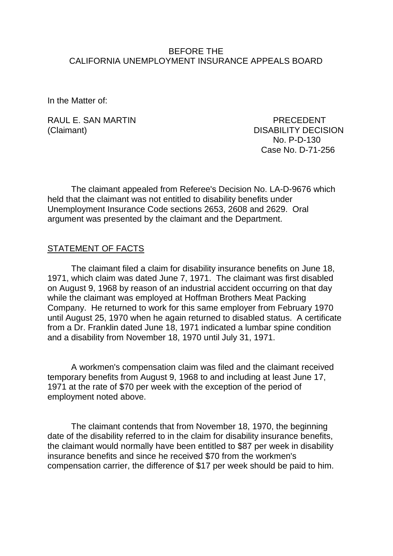### BEFORE THE CALIFORNIA UNEMPLOYMENT INSURANCE APPEALS BOARD

In the Matter of:

RAUL F. SAN MARTIN **E. SAN MARTIN** 

(Claimant) DISABILITY DECISION No. P-D-130 Case No. D-71-256

The claimant appealed from Referee's Decision No. LA-D-9676 which held that the claimant was not entitled to disability benefits under Unemployment Insurance Code sections 2653, 2608 and 2629. Oral argument was presented by the claimant and the Department.

# STATEMENT OF FACTS

The claimant filed a claim for disability insurance benefits on June 18, 1971, which claim was dated June 7, 1971. The claimant was first disabled on August 9, 1968 by reason of an industrial accident occurring on that day while the claimant was employed at Hoffman Brothers Meat Packing Company. He returned to work for this same employer from February 1970 until August 25, 1970 when he again returned to disabled status. A certificate from a Dr. Franklin dated June 18, 1971 indicated a lumbar spine condition and a disability from November 18, 1970 until July 31, 1971.

A workmen's compensation claim was filed and the claimant received temporary benefits from August 9, 1968 to and including at least June 17, 1971 at the rate of \$70 per week with the exception of the period of employment noted above.

The claimant contends that from November 18, 1970, the beginning date of the disability referred to in the claim for disability insurance benefits, the claimant would normally have been entitled to \$87 per week in disability insurance benefits and since he received \$70 from the workmen's compensation carrier, the difference of \$17 per week should be paid to him.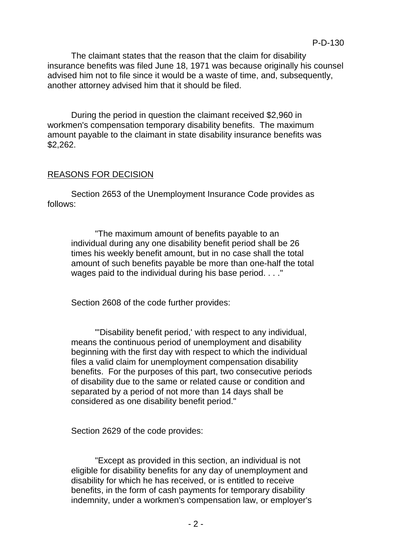The claimant states that the reason that the claim for disability insurance benefits was filed June 18, 1971 was because originally his counsel advised him not to file since it would be a waste of time, and, subsequently, another attorney advised him that it should be filed.

During the period in question the claimant received \$2,960 in workmen's compensation temporary disability benefits. The maximum amount payable to the claimant in state disability insurance benefits was \$2,262.

## REASONS FOR DECISION

Section 2653 of the Unemployment Insurance Code provides as follows:

"The maximum amount of benefits payable to an individual during any one disability benefit period shall be 26 times his weekly benefit amount, but in no case shall the total amount of such benefits payable be more than one-half the total wages paid to the individual during his base period. . . ."

Section 2608 of the code further provides:

"'Disability benefit period,' with respect to any individual, means the continuous period of unemployment and disability beginning with the first day with respect to which the individual files a valid claim for unemployment compensation disability benefits. For the purposes of this part, two consecutive periods of disability due to the same or related cause or condition and separated by a period of not more than 14 days shall be considered as one disability benefit period."

Section 2629 of the code provides:

"Except as provided in this section, an individual is not eligible for disability benefits for any day of unemployment and disability for which he has received, or is entitled to receive benefits, in the form of cash payments for temporary disability indemnity, under a workmen's compensation law, or employer's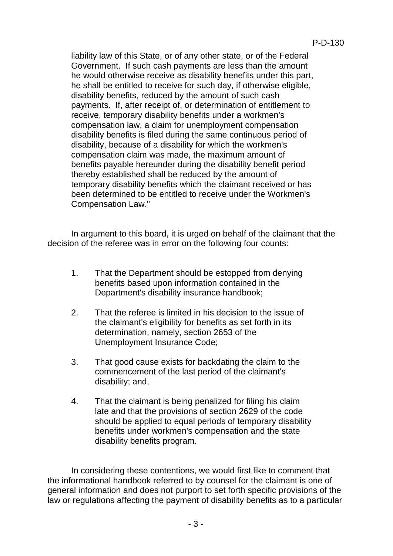liability law of this State, or of any other state, or of the Federal Government. If such cash payments are less than the amount he would otherwise receive as disability benefits under this part, he shall be entitled to receive for such day, if otherwise eligible, disability benefits, reduced by the amount of such cash payments. If, after receipt of, or determination of entitlement to receive, temporary disability benefits under a workmen's compensation law, a claim for unemployment compensation disability benefits is filed during the same continuous period of disability, because of a disability for which the workmen's compensation claim was made, the maximum amount of benefits payable hereunder during the disability benefit period thereby established shall be reduced by the amount of temporary disability benefits which the claimant received or has been determined to be entitled to receive under the Workmen's Compensation Law."

In argument to this board, it is urged on behalf of the claimant that the decision of the referee was in error on the following four counts:

- 1. That the Department should be estopped from denying benefits based upon information contained in the Department's disability insurance handbook;
- 2. That the referee is limited in his decision to the issue of the claimant's eligibility for benefits as set forth in its determination, namely, section 2653 of the Unemployment Insurance Code;
- 3. That good cause exists for backdating the claim to the commencement of the last period of the claimant's disability; and,
- 4. That the claimant is being penalized for filing his claim late and that the provisions of section 2629 of the code should be applied to equal periods of temporary disability benefits under workmen's compensation and the state disability benefits program.

In considering these contentions, we would first like to comment that the informational handbook referred to by counsel for the claimant is one of general information and does not purport to set forth specific provisions of the law or regulations affecting the payment of disability benefits as to a particular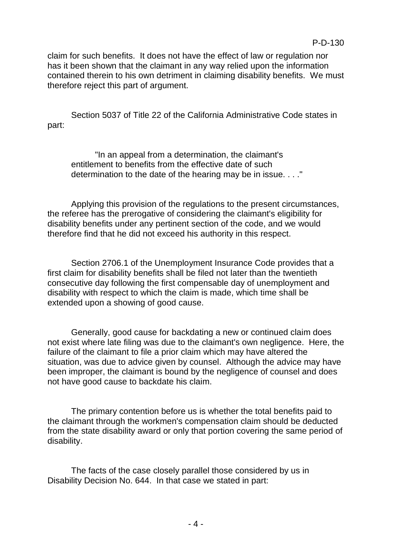claim for such benefits. It does not have the effect of law or regulation nor has it been shown that the claimant in any way relied upon the information contained therein to his own detriment in claiming disability benefits. We must therefore reject this part of argument.

Section 5037 of Title 22 of the California Administrative Code states in part:

"In an appeal from a determination, the claimant's entitlement to benefits from the effective date of such determination to the date of the hearing may be in issue. . . ."

Applying this provision of the regulations to the present circumstances, the referee has the prerogative of considering the claimant's eligibility for disability benefits under any pertinent section of the code, and we would therefore find that he did not exceed his authority in this respect.

Section 2706.1 of the Unemployment Insurance Code provides that a first claim for disability benefits shall be filed not later than the twentieth consecutive day following the first compensable day of unemployment and disability with respect to which the claim is made, which time shall be extended upon a showing of good cause.

Generally, good cause for backdating a new or continued claim does not exist where late filing was due to the claimant's own negligence. Here, the failure of the claimant to file a prior claim which may have altered the situation, was due to advice given by counsel. Although the advice may have been improper, the claimant is bound by the negligence of counsel and does not have good cause to backdate his claim.

The primary contention before us is whether the total benefits paid to the claimant through the workmen's compensation claim should be deducted from the state disability award or only that portion covering the same period of disability.

The facts of the case closely parallel those considered by us in Disability Decision No. 644. In that case we stated in part: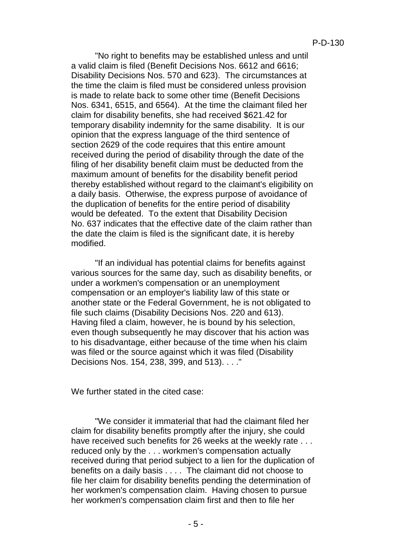"No right to benefits may be established unless and until a valid claim is filed (Benefit Decisions Nos. 6612 and 6616; Disability Decisions Nos. 570 and 623). The circumstances at the time the claim is filed must be considered unless provision is made to relate back to some other time (Benefit Decisions Nos. 6341, 6515, and 6564). At the time the claimant filed her claim for disability benefits, she had received \$621.42 for temporary disability indemnity for the same disability. It is our opinion that the express language of the third sentence of section 2629 of the code requires that this entire amount received during the period of disability through the date of the filing of her disability benefit claim must be deducted from the maximum amount of benefits for the disability benefit period thereby established without regard to the claimant's eligibility on a daily basis. Otherwise, the express purpose of avoidance of the duplication of benefits for the entire period of disability would be defeated. To the extent that Disability Decision No. 637 indicates that the effective date of the claim rather than the date the claim is filed is the significant date, it is hereby modified.

"If an individual has potential claims for benefits against various sources for the same day, such as disability benefits, or under a workmen's compensation or an unemployment compensation or an employer's liability law of this state or another state or the Federal Government, he is not obligated to file such claims (Disability Decisions Nos. 220 and 613). Having filed a claim, however, he is bound by his selection, even though subsequently he may discover that his action was to his disadvantage, either because of the time when his claim was filed or the source against which it was filed (Disability Decisions Nos. 154, 238, 399, and 513). . . ."

We further stated in the cited case:

"We consider it immaterial that had the claimant filed her claim for disability benefits promptly after the injury, she could have received such benefits for 26 weeks at the weekly rate . . . reduced only by the . . . workmen's compensation actually received during that period subject to a lien for the duplication of benefits on a daily basis . . . . The claimant did not choose to file her claim for disability benefits pending the determination of her workmen's compensation claim. Having chosen to pursue her workmen's compensation claim first and then to file her